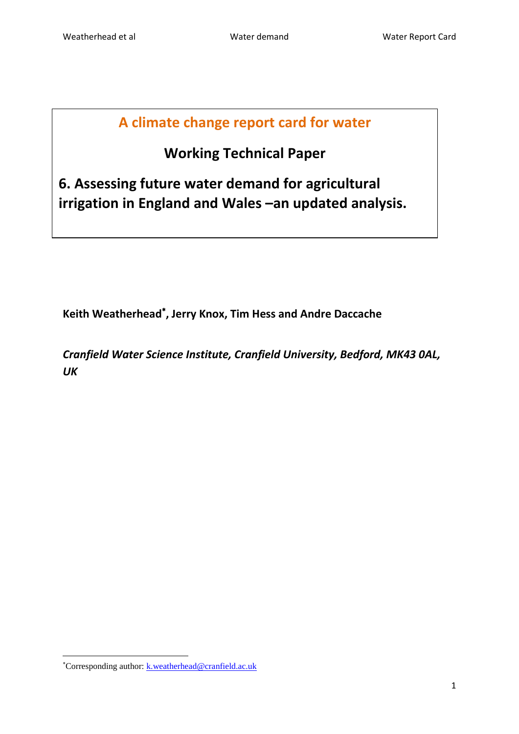## **A climate change report card for water**

# **Working Technical Paper**

**6. Assessing future water demand for agricultural irrigation in England and Wales –an updated analysis.**

**Keith Weatherhead , Jerry Knox, Tim Hess and Andre Daccache**

*Cranfield Water Science Institute, Cranfield University, Bedford, MK43 0AL, UK*

**.** 

<sup>\*</sup>Corresponding author: [k.weatherhead@cranfield.ac.uk](mailto:k.weatherhead@cranfield.ac.uk)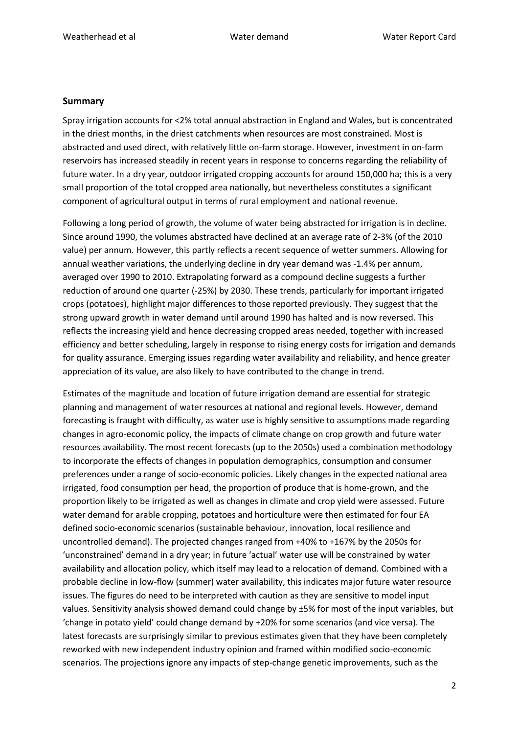#### **Summary**

Spray irrigation accounts for <2% total annual abstraction in England and Wales, but is concentrated in the driest months, in the driest catchments when resources are most constrained. Most is abstracted and used direct, with relatively little on-farm storage. However, investment in on-farm reservoirs has increased steadily in recent years in response to concerns regarding the reliability of future water. In a dry year, outdoor irrigated cropping accounts for around 150,000 ha; this is a very small proportion of the total cropped area nationally, but nevertheless constitutes a significant component of agricultural output in terms of rural employment and national revenue.

Following a long period of growth, the volume of water being abstracted for irrigation is in decline. Since around 1990, the volumes abstracted have declined at an average rate of 2-3% (of the 2010 value) per annum. However, this partly reflects a recent sequence of wetter summers. Allowing for annual weather variations, the underlying decline in dry year demand was -1.4% per annum, averaged over 1990 to 2010. Extrapolating forward as a compound decline suggests a further reduction of around one quarter (-25%) by 2030. These trends, particularly for important irrigated crops (potatoes), highlight major differences to those reported previously. They suggest that the strong upward growth in water demand until around 1990 has halted and is now reversed. This reflects the increasing yield and hence decreasing cropped areas needed, together with increased efficiency and better scheduling, largely in response to rising energy costs for irrigation and demands for quality assurance. Emerging issues regarding water availability and reliability, and hence greater appreciation of its value, are also likely to have contributed to the change in trend.

Estimates of the magnitude and location of future irrigation demand are essential for strategic planning and management of water resources at national and regional levels. However, demand forecasting is fraught with difficulty, as water use is highly sensitive to assumptions made regarding changes in agro-economic policy, the impacts of climate change on crop growth and future water resources availability. The most recent forecasts (up to the 2050s) used a combination methodology to incorporate the effects of changes in population demographics, consumption and consumer preferences under a range of socio-economic policies. Likely changes in the expected national area irrigated, food consumption per head, the proportion of produce that is home-grown, and the proportion likely to be irrigated as well as changes in climate and crop yield were assessed. Future water demand for arable cropping, potatoes and horticulture were then estimated for four EA defined socio-economic scenarios (sustainable behaviour, innovation, local resilience and uncontrolled demand). The projected changes ranged from +40% to +167% by the 2050s for 'unconstrained' demand in a dry year; in future 'actual' water use will be constrained by water availability and allocation policy, which itself may lead to a relocation of demand. Combined with a probable decline in low-flow (summer) water availability, this indicates major future water resource issues. The figures do need to be interpreted with caution as they are sensitive to model input values. Sensitivity analysis showed demand could change by ±5% for most of the input variables, but 'change in potato yield' could change demand by +20% for some scenarios (and vice versa). The latest forecasts are surprisingly similar to previous estimates given that they have been completely reworked with new independent industry opinion and framed within modified socio-economic scenarios. The projections ignore any impacts of step-change genetic improvements, such as the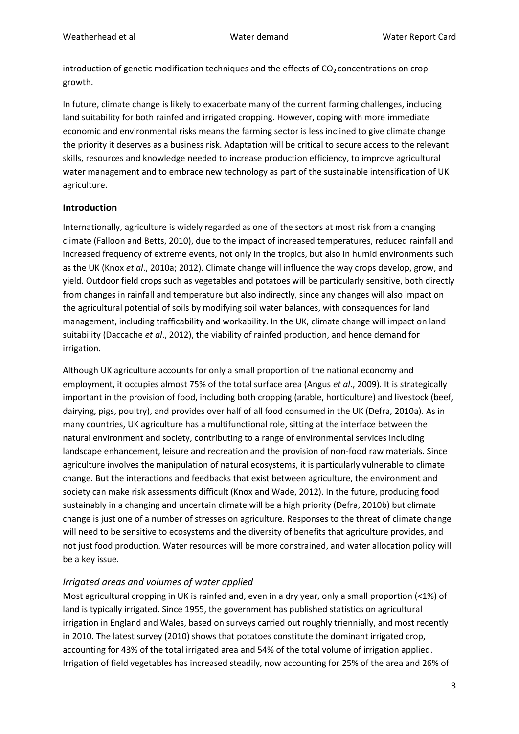introduction of genetic modification techniques and the effects of  $CO<sub>2</sub>$  concentrations on crop growth.

In future, climate change is likely to exacerbate many of the current farming challenges, including land suitability for both rainfed and irrigated cropping. However, coping with more immediate economic and environmental risks means the farming sector is less inclined to give climate change the priority it deserves as a business risk. Adaptation will be critical to secure access to the relevant skills, resources and knowledge needed to increase production efficiency, to improve agricultural water management and to embrace new technology as part of the sustainable intensification of UK agriculture.

#### **Introduction**

Internationally, agriculture is widely regarded as one of the sectors at most risk from a changing climate (Falloon and Betts, 2010), due to the impact of increased temperatures, reduced rainfall and increased frequency of extreme events, not only in the tropics, but also in humid environments such as the UK (Knox *et al*., 2010a; 2012). Climate change will influence the way crops develop, grow, and yield. Outdoor field crops such as vegetables and potatoes will be particularly sensitive, both directly from changes in rainfall and temperature but also indirectly, since any changes will also impact on the agricultural potential of soils by modifying soil water balances, with consequences for land management, including trafficability and workability. In the UK, climate change will impact on land suitability (Daccache *et al*., 2012), the viability of rainfed production, and hence demand for irrigation.

Although UK agriculture accounts for only a small proportion of the national economy and employment, it occupies almost 75% of the total surface area (Angus *et al*., 2009). It is strategically important in the provision of food, including both cropping (arable, horticulture) and livestock (beef, dairying, pigs, poultry), and provides over half of all food consumed in the UK (Defra, 2010a). As in many countries, UK agriculture has a multifunctional role, sitting at the interface between the natural environment and society, contributing to a range of environmental services including landscape enhancement, leisure and recreation and the provision of non-food raw materials. Since agriculture involves the manipulation of natural ecosystems, it is particularly vulnerable to climate change. But the interactions and feedbacks that exist between agriculture, the environment and society can make risk assessments difficult (Knox and Wade, 2012). In the future, producing food sustainably in a changing and uncertain climate will be a high priority (Defra, 2010b) but climate change is just one of a number of stresses on agriculture. Responses to the threat of climate change will need to be sensitive to ecosystems and the diversity of benefits that agriculture provides, and not just food production. Water resources will be more constrained, and water allocation policy will be a key issue.

#### *Irrigated areas and volumes of water applied*

Most agricultural cropping in UK is rainfed and, even in a dry year, only a small proportion (<1%) of land is typically irrigated. Since 1955, the government has published statistics on agricultural irrigation in England and Wales, based on surveys carried out roughly triennially, and most recently in 2010. The latest survey (2010) shows that potatoes constitute the dominant irrigated crop, accounting for 43% of the total irrigated area and 54% of the total volume of irrigation applied. Irrigation of field vegetables has increased steadily, now accounting for 25% of the area and 26% of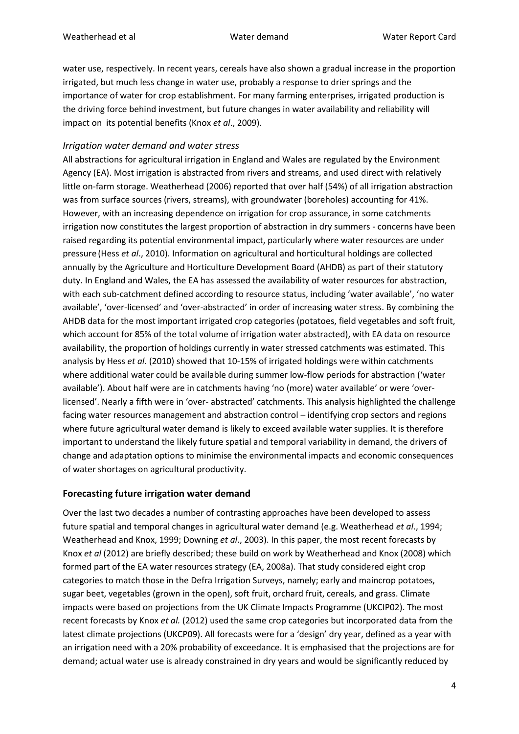water use, respectively. In recent years, cereals have also shown a gradual increase in the proportion irrigated, but much less change in water use, probably a response to drier springs and the importance of water for crop establishment. For many farming enterprises, irrigated production is the driving force behind investment, but future changes in water availability and reliability will impact on its potential benefits (Knox *et al*., 2009).

#### *Irrigation water demand and water stress*

All abstractions for agricultural irrigation in England and Wales are regulated by the Environment Agency (EA). Most irrigation is abstracted from rivers and streams, and used direct with relatively little on-farm storage. Weatherhead (2006) reported that over half (54%) of all irrigation abstraction was from surface sources (rivers, streams), with groundwater (boreholes) accounting for 41%. However, with an increasing dependence on irrigation for crop assurance, in some catchments irrigation now constitutes the largest proportion of abstraction in dry summers - concerns have been raised regarding its potential environmental impact, particularly where water resources are under pressure (Hess *et al*., 2010). Information on agricultural and horticultural holdings are collected annually by the Agriculture and Horticulture Development Board (AHDB) as part of their statutory duty. In England and Wales, the EA has assessed the availability of water resources for abstraction, with each sub-catchment defined according to resource status, including 'water available', 'no water available', 'over-licensed' and 'over-abstracted' in order of increasing water stress. By combining the AHDB data for the most important irrigated crop categories (potatoes, field vegetables and soft fruit, which account for 85% of the total volume of irrigation water abstracted), with EA data on resource availability, the proportion of holdings currently in water stressed catchments was estimated. This analysis by Hess *et al*. (2010) showed that 10-15% of irrigated holdings were within catchments where additional water could be available during summer low-flow periods for abstraction ('water available'). About half were are in catchments having 'no (more) water available' or were 'overlicensed'. Nearly a fifth were in 'over- abstracted' catchments. This analysis highlighted the challenge facing water resources management and abstraction control – identifying crop sectors and regions where future agricultural water demand is likely to exceed available water supplies. It is therefore important to understand the likely future spatial and temporal variability in demand, the drivers of change and adaptation options to minimise the environmental impacts and economic consequences of water shortages on agricultural productivity.

#### **Forecasting future irrigation water demand**

Over the last two decades a number of contrasting approaches have been developed to assess future spatial and temporal changes in agricultural water demand (e.g. Weatherhead *et al*., 1994; Weatherhead and Knox, 1999; Downing *et al*., 2003). In this paper, the most recent forecasts by Knox *et al* (2012) are briefly described; these build on work by Weatherhead and Knox (2008) which formed part of the EA water resources strategy (EA, 2008a). That study considered eight crop categories to match those in the Defra Irrigation Surveys, namely; early and maincrop potatoes, sugar beet, vegetables (grown in the open), soft fruit, orchard fruit, cereals, and grass. Climate impacts were based on projections from the UK Climate Impacts Programme (UKCIP02). The most recent forecasts by Knox *et al.* (2012) used the same crop categories but incorporated data from the latest climate projections (UKCP09). All forecasts were for a 'design' dry year, defined as a year with an irrigation need with a 20% probability of exceedance. It is emphasised that the projections are for demand; actual water use is already constrained in dry years and would be significantly reduced by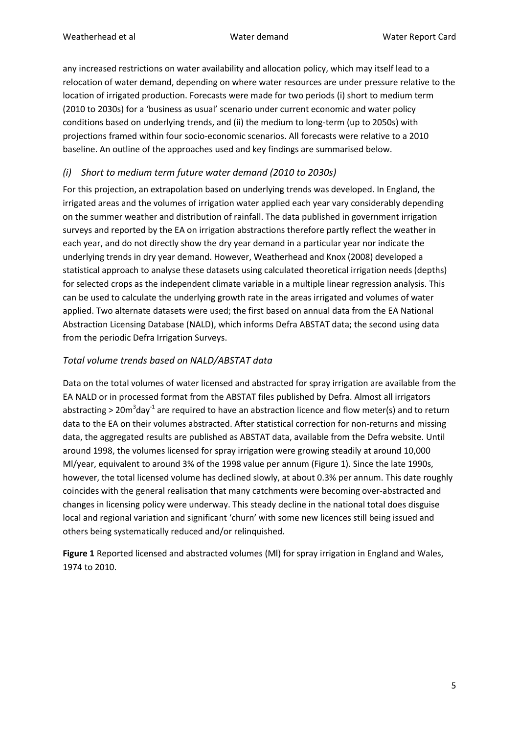any increased restrictions on water availability and allocation policy, which may itself lead to a relocation of water demand, depending on where water resources are under pressure relative to the location of irrigated production. Forecasts were made for two periods (i) short to medium term (2010 to 2030s) for a 'business as usual' scenario under current economic and water policy conditions based on underlying trends, and (ii) the medium to long-term (up to 2050s) with projections framed within four socio-economic scenarios. All forecasts were relative to a 2010 baseline. An outline of the approaches used and key findings are summarised below.

## *(i) Short to medium term future water demand (2010 to 2030s)*

For this projection, an extrapolation based on underlying trends was developed. In England, the irrigated areas and the volumes of irrigation water applied each year vary considerably depending on the summer weather and distribution of rainfall. The data published in government irrigation surveys and reported by the EA on irrigation abstractions therefore partly reflect the weather in each year, and do not directly show the dry year demand in a particular year nor indicate the underlying trends in dry year demand. However, Weatherhead and Knox (2008) developed a statistical approach to analyse these datasets using calculated theoretical irrigation needs (depths) for selected crops as the independent climate variable in a multiple linear regression analysis. This can be used to calculate the underlying growth rate in the areas irrigated and volumes of water applied. Two alternate datasets were used; the first based on annual data from the EA National Abstraction Licensing Database (NALD), which informs Defra ABSTAT data; the second using data from the periodic Defra Irrigation Surveys.

## *Total volume trends based on NALD/ABSTAT data*

Data on the total volumes of water licensed and abstracted for spray irrigation are available from the EA NALD or in processed format from the ABSTAT files published by Defra. Almost all irrigators abstracting > 20m<sup>3</sup>day<sup>-1</sup> are required to have an abstraction licence and flow meter(s) and to return data to the EA on their volumes abstracted. After statistical correction for non-returns and missing data, the aggregated results are published as ABSTAT data, available from the Defra website. Until around 1998, the volumes licensed for spray irrigation were growing steadily at around 10,000 Ml/year, equivalent to around 3% of the 1998 value per annum (Figure 1). Since the late 1990s, however, the total licensed volume has declined slowly, at about 0.3% per annum. This date roughly coincides with the general realisation that many catchments were becoming over-abstracted and changes in licensing policy were underway. This steady decline in the national total does disguise local and regional variation and significant 'churn' with some new licences still being issued and others being systematically reduced and/or relinquished.

**Figure 1** Reported licensed and abstracted volumes (Ml) for spray irrigation in England and Wales, 1974 to 2010.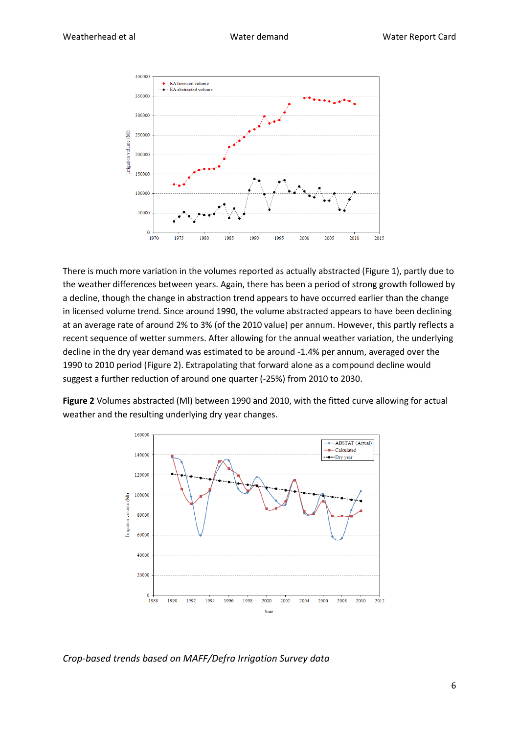

There is much more variation in the volumes reported as actually abstracted (Figure 1), partly due to the weather differences between years. Again, there has been a period of strong growth followed by a decline, though the change in abstraction trend appears to have occurred earlier than the change in licensed volume trend. Since around 1990, the volume abstracted appears to have been declining at an average rate of around 2% to 3% (of the 2010 value) per annum. However, this partly reflects a recent sequence of wetter summers. After allowing for the annual weather variation, the underlying decline in the dry year demand was estimated to be around -1.4% per annum, averaged over the 1990 to 2010 period (Figure 2). Extrapolating that forward alone as a compound decline would suggest a further reduction of around one quarter (-25%) from 2010 to 2030.

**Figure 2** Volumes abstracted (Ml) between 1990 and 2010, with the fitted curve allowing for actual weather and the resulting underlying dry year changes.



*Crop-based trends based on MAFF/Defra Irrigation Survey data*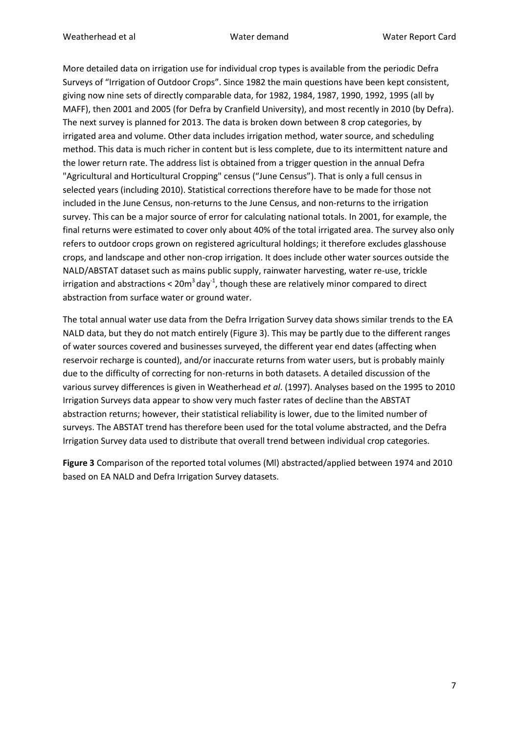More detailed data on irrigation use for individual crop types is available from the periodic Defra Surveys of "Irrigation of Outdoor Crops". Since 1982 the main questions have been kept consistent, giving now nine sets of directly comparable data, for 1982, 1984, 1987, 1990, 1992, 1995 (all by MAFF), then 2001 and 2005 (for Defra by Cranfield University), and most recently in 2010 (by Defra). The next survey is planned for 2013. The data is broken down between 8 crop categories, by irrigated area and volume. Other data includes irrigation method, water source, and scheduling method. This data is much richer in content but is less complete, due to its intermittent nature and the lower return rate. The address list is obtained from a trigger question in the annual Defra "Agricultural and Horticultural Cropping" census ("June Census"). That is only a full census in selected years (including 2010). Statistical corrections therefore have to be made for those not included in the June Census, non-returns to the June Census, and non-returns to the irrigation survey. This can be a major source of error for calculating national totals. In 2001, for example, the final returns were estimated to cover only about 40% of the total irrigated area. The survey also only refers to outdoor crops grown on registered agricultural holdings; it therefore excludes glasshouse crops, and landscape and other non-crop irrigation. It does include other water sources outside the NALD/ABSTAT dataset such as mains public supply, rainwater harvesting, water re-use, trickle irrigation and abstractions <  $20m^3$  day<sup>-1</sup>, though these are relatively minor compared to direct abstraction from surface water or ground water.

The total annual water use data from the Defra Irrigation Survey data shows similar trends to the EA NALD data, but they do not match entirely (Figure 3). This may be partly due to the different ranges of water sources covered and businesses surveyed, the different year end dates (affecting when reservoir recharge is counted), and/or inaccurate returns from water users, but is probably mainly due to the difficulty of correcting for non-returns in both datasets. A detailed discussion of the various survey differences is given in Weatherhead *et al*. (1997). Analyses based on the 1995 to 2010 Irrigation Surveys data appear to show very much faster rates of decline than the ABSTAT abstraction returns; however, their statistical reliability is lower, due to the limited number of surveys. The ABSTAT trend has therefore been used for the total volume abstracted, and the Defra Irrigation Survey data used to distribute that overall trend between individual crop categories.

**Figure 3** Comparison of the reported total volumes (Ml) abstracted/applied between 1974 and 2010 based on EA NALD and Defra Irrigation Survey datasets.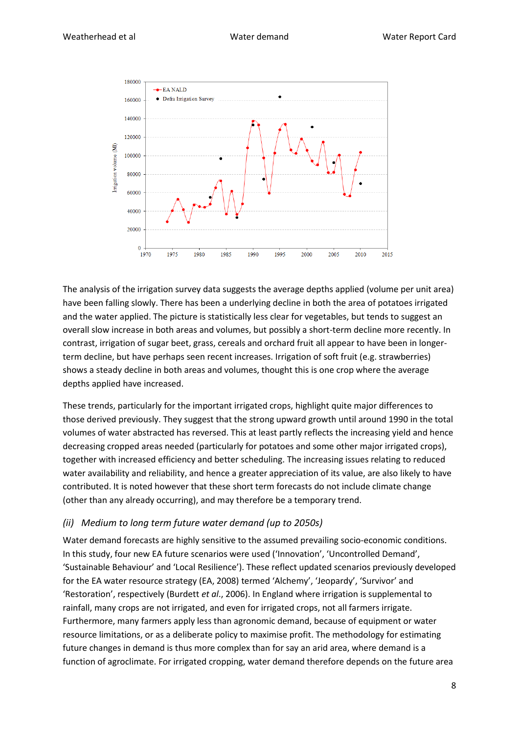

The analysis of the irrigation survey data suggests the average depths applied (volume per unit area) have been falling slowly. There has been a underlying decline in both the area of potatoes irrigated and the water applied. The picture is statistically less clear for vegetables, but tends to suggest an overall slow increase in both areas and volumes, but possibly a short-term decline more recently. In contrast, irrigation of sugar beet, grass, cereals and orchard fruit all appear to have been in longerterm decline, but have perhaps seen recent increases. Irrigation of soft fruit (e.g. strawberries) shows a steady decline in both areas and volumes, thought this is one crop where the average depths applied have increased.

These trends, particularly for the important irrigated crops, highlight quite major differences to those derived previously. They suggest that the strong upward growth until around 1990 in the total volumes of water abstracted has reversed. This at least partly reflects the increasing yield and hence decreasing cropped areas needed (particularly for potatoes and some other major irrigated crops), together with increased efficiency and better scheduling. The increasing issues relating to reduced water availability and reliability, and hence a greater appreciation of its value, are also likely to have contributed. It is noted however that these short term forecasts do not include climate change (other than any already occurring), and may therefore be a temporary trend.

#### *(ii) Medium to long term future water demand (up to 2050s)*

Water demand forecasts are highly sensitive to the assumed prevailing socio-economic conditions. In this study, four new EA future scenarios were used ('Innovation', 'Uncontrolled Demand', 'Sustainable Behaviour' and 'Local Resilience'). These reflect updated scenarios previously developed for the EA water resource strategy (EA, 2008) termed 'Alchemy', 'Jeopardy', 'Survivor' and 'Restoration', respectively (Burdett *et al*., 2006). In England where irrigation is supplemental to rainfall, many crops are not irrigated, and even for irrigated crops, not all farmers irrigate. Furthermore, many farmers apply less than agronomic demand, because of equipment or water resource limitations, or as a deliberate policy to maximise profit. The methodology for estimating future changes in demand is thus more complex than for say an arid area, where demand is a function of agroclimate. For irrigated cropping, water demand therefore depends on the future area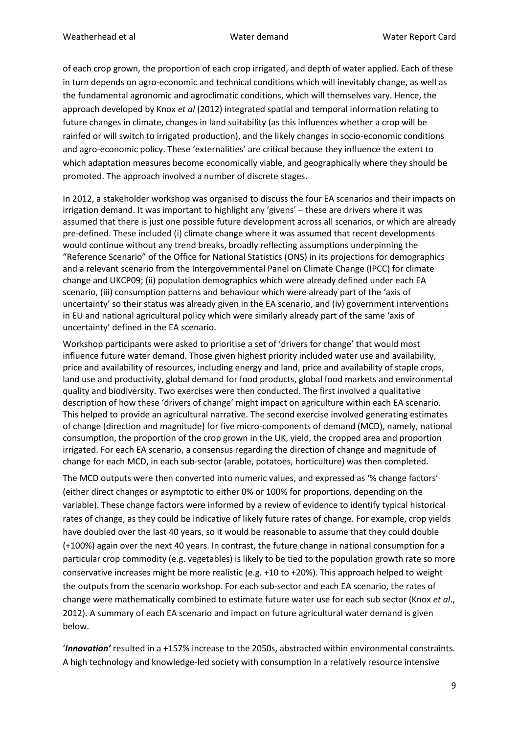of each crop grown, the proportion of each crop irrigated, and depth of water applied. Each of these in turn depends on agro-economic and technical conditions which will inevitably change, as well as the fundamental agronomic and agroclimatic conditions, which will themselves vary. Hence, the approach developed by Knox *et al* (2012) integrated spatial and temporal information relating to future changes in climate, changes in land suitability (as this influences whether a crop will be rainfed or will switch to irrigated production), and the likely changes in socio-economic conditions and agro-economic policy. These 'externalities' are critical because they influence the extent to which adaptation measures become economically viable, and geographically where they should be promoted. The approach involved a number of discrete stages.

In 2012, a stakeholder workshop was organised to discuss the four EA scenarios and their impacts on irrigation demand. It was important to highlight any 'givens' – these are drivers where it was assumed that there is just one possible future development across all scenarios, or which are already pre-defined. These included (i) climate change where it was assumed that recent developments would continue without any trend breaks, broadly reflecting assumptions underpinning the "Reference Scenario" of the Office for National Statistics (ONS) in its projections for demographics and a relevant scenario from the Intergovernmental Panel on Climate Change (IPCC) for climate change and UKCP09; (ii) population demographics which were already defined under each EA scenario, (iii) consumption patterns and behaviour which were already part of the 'axis of uncertainty' so their status was already given in the EA scenario, and (iv) government interventions in EU and national agricultural policy which were similarly already part of the same 'axis of uncertainty' defined in the EA scenario.

Workshop participants were asked to prioritise a set of 'drivers for change' that would most influence future water demand. Those given highest priority included water use and availability, price and availability of resources, including energy and land, price and availability of staple crops, land use and productivity, global demand for food products, global food markets and environmental quality and biodiversity. Two exercises were then conducted. The first involved a qualitative description of how these 'drivers of change' might impact on agriculture within each EA scenario. This helped to provide an agricultural narrative. The second exercise involved generating estimates of change (direction and magnitude) for five micro-components of demand (MCD), namely, national consumption, the proportion of the crop grown in the UK, yield, the cropped area and proportion irrigated. For each EA scenario, a consensus regarding the direction of change and magnitude of change for each MCD, in each sub-sector (arable, potatoes, horticulture) was then completed.

The MCD outputs were then converted into numeric values, and expressed as '% change factors' (either direct changes or asymptotic to either 0% or 100% for proportions, depending on the variable). These change factors were informed by a review of evidence to identify typical historical rates of change, as they could be indicative of likely future rates of change. For example, crop yields have doubled over the last 40 years, so it would be reasonable to assume that they could double (+100%) again over the next 40 years. In contrast, the future change in national consumption for a particular crop commodity (e.g. vegetables) is likely to be tied to the population growth rate so more conservative increases might be more realistic (e.g. +10 to +20%). This approach helped to weight the outputs from the scenario workshop. For each sub-sector and each EA scenario, the rates of change were mathematically combined to estimate future water use for each sub sector (Knox *et al*., 2012). A summary of each EA scenario and impact on future agricultural water demand is given below.

'*Innovation'* resulted in a +157% increase to the 2050s, abstracted within environmental constraints. A high technology and knowledge-led society with consumption in a relatively resource intensive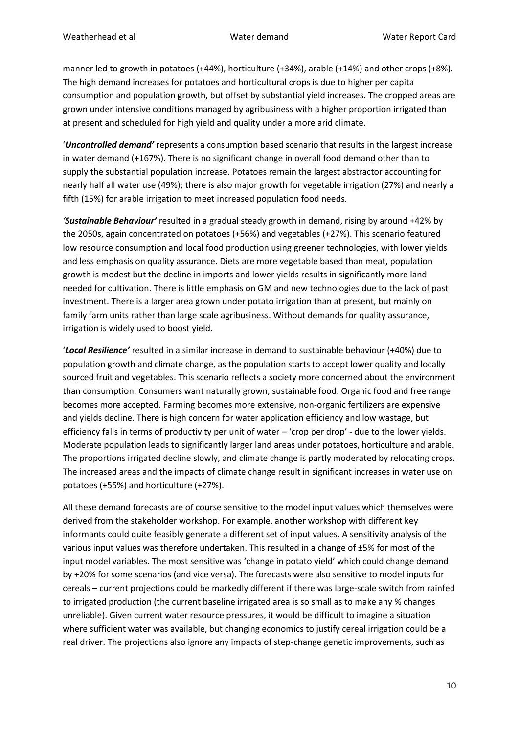manner led to growth in potatoes (+44%), horticulture (+34%), arable (+14%) and other crops (+8%). The high demand increases for potatoes and horticultural crops is due to higher per capita consumption and population growth, but offset by substantial yield increases. The cropped areas are grown under intensive conditions managed by agribusiness with a higher proportion irrigated than at present and scheduled for high yield and quality under a more arid climate.

'*Uncontrolled demand'* represents a consumption based scenario that results in the largest increase in water demand (+167%). There is no significant change in overall food demand other than to supply the substantial population increase. Potatoes remain the largest abstractor accounting for nearly half all water use (49%); there is also major growth for vegetable irrigation (27%) and nearly a fifth (15%) for arable irrigation to meet increased population food needs.

*'Sustainable Behaviour'* resulted in a gradual steady growth in demand, rising by around +42% by the 2050s, again concentrated on potatoes (+56%) and vegetables (+27%). This scenario featured low resource consumption and local food production using greener technologies, with lower yields and less emphasis on quality assurance. Diets are more vegetable based than meat, population growth is modest but the decline in imports and lower yields results in significantly more land needed for cultivation. There is little emphasis on GM and new technologies due to the lack of past investment. There is a larger area grown under potato irrigation than at present, but mainly on family farm units rather than large scale agribusiness. Without demands for quality assurance, irrigation is widely used to boost yield.

'*Local Resilience'* resulted in a similar increase in demand to sustainable behaviour (+40%) due to population growth and climate change, as the population starts to accept lower quality and locally sourced fruit and vegetables. This scenario reflects a society more concerned about the environment than consumption. Consumers want naturally grown, sustainable food. Organic food and free range becomes more accepted. Farming becomes more extensive, non-organic fertilizers are expensive and yields decline. There is high concern for water application efficiency and low wastage, but efficiency falls in terms of productivity per unit of water – 'crop per drop' - due to the lower yields. Moderate population leads to significantly larger land areas under potatoes, horticulture and arable. The proportions irrigated decline slowly, and climate change is partly moderated by relocating crops. The increased areas and the impacts of climate change result in significant increases in water use on potatoes (+55%) and horticulture (+27%).

All these demand forecasts are of course sensitive to the model input values which themselves were derived from the stakeholder workshop. For example, another workshop with different key informants could quite feasibly generate a different set of input values. A sensitivity analysis of the various input values was therefore undertaken. This resulted in a change of ±5% for most of the input model variables. The most sensitive was 'change in potato yield' which could change demand by +20% for some scenarios (and vice versa). The forecasts were also sensitive to model inputs for cereals – current projections could be markedly different if there was large-scale switch from rainfed to irrigated production (the current baseline irrigated area is so small as to make any % changes unreliable). Given current water resource pressures, it would be difficult to imagine a situation where sufficient water was available, but changing economics to justify cereal irrigation could be a real driver. The projections also ignore any impacts of step-change genetic improvements, such as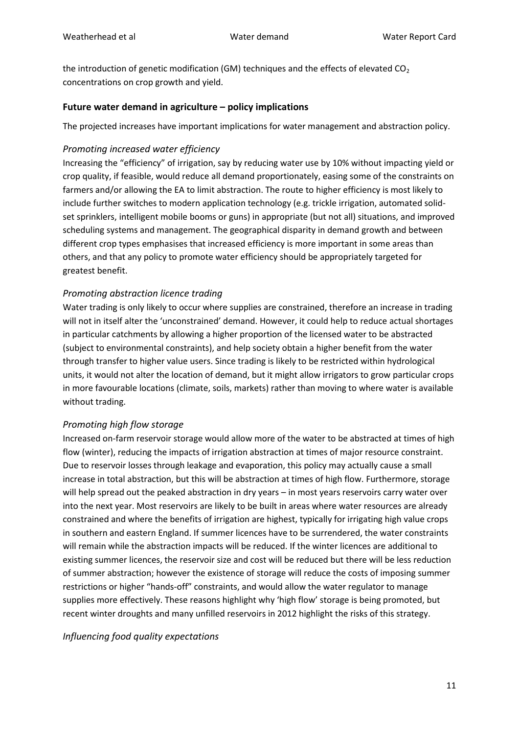the introduction of genetic modification (GM) techniques and the effects of elevated  $CO<sub>2</sub>$ concentrations on crop growth and yield.

#### **Future water demand in agriculture – policy implications**

The projected increases have important implications for water management and abstraction policy.

#### *Promoting increased water efficiency*

Increasing the "efficiency" of irrigation, say by reducing water use by 10% without impacting yield or crop quality, if feasible, would reduce all demand proportionately, easing some of the constraints on farmers and/or allowing the EA to limit abstraction. The route to higher efficiency is most likely to include further switches to modern application technology (e.g. trickle irrigation, automated solidset sprinklers, intelligent mobile booms or guns) in appropriate (but not all) situations, and improved scheduling systems and management. The geographical disparity in demand growth and between different crop types emphasises that increased efficiency is more important in some areas than others, and that any policy to promote water efficiency should be appropriately targeted for greatest benefit.

#### *Promoting abstraction licence trading*

Water trading is only likely to occur where supplies are constrained, therefore an increase in trading will not in itself alter the 'unconstrained' demand. However, it could help to reduce actual shortages in particular catchments by allowing a higher proportion of the licensed water to be abstracted (subject to environmental constraints), and help society obtain a higher benefit from the water through transfer to higher value users. Since trading is likely to be restricted within hydrological units, it would not alter the location of demand, but it might allow irrigators to grow particular crops in more favourable locations (climate, soils, markets) rather than moving to where water is available without trading.

#### *Promoting high flow storage*

Increased on-farm reservoir storage would allow more of the water to be abstracted at times of high flow (winter), reducing the impacts of irrigation abstraction at times of major resource constraint. Due to reservoir losses through leakage and evaporation, this policy may actually cause a small increase in total abstraction, but this will be abstraction at times of high flow. Furthermore, storage will help spread out the peaked abstraction in dry years – in most years reservoirs carry water over into the next year. Most reservoirs are likely to be built in areas where water resources are already constrained and where the benefits of irrigation are highest, typically for irrigating high value crops in southern and eastern England. If summer licences have to be surrendered, the water constraints will remain while the abstraction impacts will be reduced. If the winter licences are additional to existing summer licences, the reservoir size and cost will be reduced but there will be less reduction of summer abstraction; however the existence of storage will reduce the costs of imposing summer restrictions or higher "hands-off" constraints, and would allow the water regulator to manage supplies more effectively. These reasons highlight why 'high flow' storage is being promoted, but recent winter droughts and many unfilled reservoirs in 2012 highlight the risks of this strategy.

#### *Influencing food quality expectations*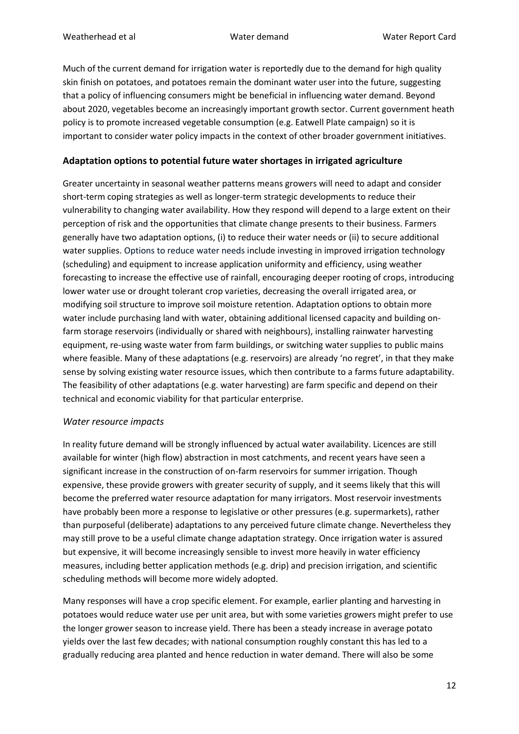Much of the current demand for irrigation water is reportedly due to the demand for high quality skin finish on potatoes, and potatoes remain the dominant water user into the future, suggesting that a policy of influencing consumers might be beneficial in influencing water demand. Beyond about 2020, vegetables become an increasingly important growth sector. Current government heath policy is to promote increased vegetable consumption (e.g. Eatwell Plate campaign) so it is important to consider water policy impacts in the context of other broader government initiatives.

## **Adaptation options to potential future water shortages in irrigated agriculture**

Greater uncertainty in seasonal weather patterns means growers will need to adapt and consider short-term coping strategies as well as longer-term strategic developments to reduce their vulnerability to changing water availability. How they respond will depend to a large extent on their perception of risk and the opportunities that climate change presents to their business. Farmers generally have two adaptation options, (i) to reduce their water needs or (ii) to secure additional water supplies. Options to reduce water needs include investing in improved irrigation technology (scheduling) and equipment to increase application uniformity and efficiency, using weather forecasting to increase the effective use of rainfall, encouraging deeper rooting of crops, introducing lower water use or drought tolerant crop varieties, decreasing the overall irrigated area, or modifying soil structure to improve soil moisture retention. Adaptation options to obtain more water include purchasing land with water, obtaining additional licensed capacity and building onfarm storage reservoirs (individually or shared with neighbours), installing rainwater harvesting equipment, re-using waste water from farm buildings, or switching water supplies to public mains where feasible. Many of these adaptations (e.g. reservoirs) are already 'no regret', in that they make sense by solving existing water resource issues, which then contribute to a farms future adaptability. The feasibility of other adaptations (e.g. water harvesting) are farm specific and depend on their technical and economic viability for that particular enterprise.

#### *Water resource impacts*

In reality future demand will be strongly influenced by actual water availability. Licences are still available for winter (high flow) abstraction in most catchments, and recent years have seen a significant increase in the construction of on-farm reservoirs for summer irrigation. Though expensive, these provide growers with greater security of supply, and it seems likely that this will become the preferred water resource adaptation for many irrigators. Most reservoir investments have probably been more a response to legislative or other pressures (e.g. supermarkets), rather than purposeful (deliberate) adaptations to any perceived future climate change. Nevertheless they may still prove to be a useful climate change adaptation strategy. Once irrigation water is assured but expensive, it will become increasingly sensible to invest more heavily in water efficiency measures, including better application methods (e.g. drip) and precision irrigation, and scientific scheduling methods will become more widely adopted.

Many responses will have a crop specific element. For example, earlier planting and harvesting in potatoes would reduce water use per unit area, but with some varieties growers might prefer to use the longer grower season to increase yield. There has been a steady increase in average potato yields over the last few decades; with national consumption roughly constant this has led to a gradually reducing area planted and hence reduction in water demand. There will also be some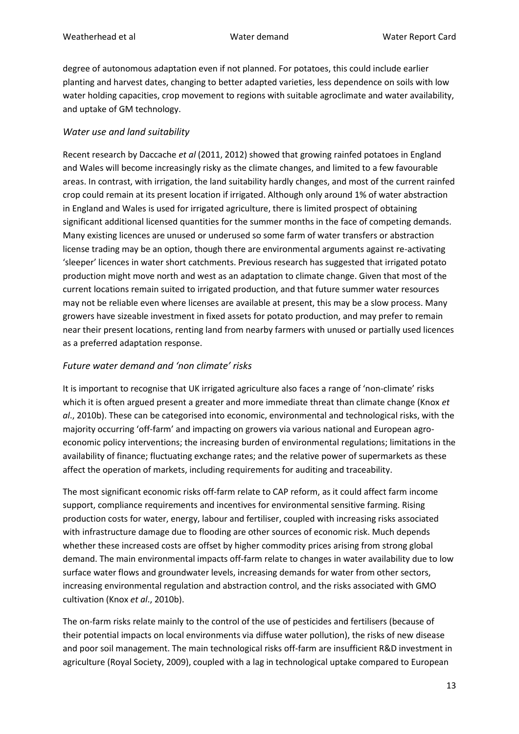degree of autonomous adaptation even if not planned. For potatoes, this could include earlier planting and harvest dates, changing to better adapted varieties, less dependence on soils with low water holding capacities, crop movement to regions with suitable agroclimate and water availability, and uptake of GM technology.

## *Water use and land suitability*

Recent research by Daccache *et al* (2011, 2012) showed that growing rainfed potatoes in England and Wales will become increasingly risky as the climate changes, and limited to a few favourable areas. In contrast, with irrigation, the land suitability hardly changes, and most of the current rainfed crop could remain at its present location if irrigated. Although only around 1% of water abstraction in England and Wales is used for irrigated agriculture, there is limited prospect of obtaining significant additional licensed quantities for the summer months in the face of competing demands. Many existing licences are unused or underused so some farm of water transfers or abstraction license trading may be an option, though there are environmental arguments against re-activating 'sleeper' licences in water short catchments. Previous research has suggested that irrigated potato production might move north and west as an adaptation to climate change. Given that most of the current locations remain suited to irrigated production, and that future summer water resources may not be reliable even where licenses are available at present, this may be a slow process. Many growers have sizeable investment in fixed assets for potato production, and may prefer to remain near their present locations, renting land from nearby farmers with unused or partially used licences as a preferred adaptation response.

## *Future water demand and 'non climate' risks*

It is important to recognise that UK irrigated agriculture also faces a range of 'non-climate' risks which it is often argued present a greater and more immediate threat than climate change (Knox *et al*., 2010b). These can be categorised into economic, environmental and technological risks, with the majority occurring 'off-farm' and impacting on growers via various national and European agroeconomic policy interventions; the increasing burden of environmental regulations; limitations in the availability of finance; fluctuating exchange rates; and the relative power of supermarkets as these affect the operation of markets, including requirements for auditing and traceability.

The most significant economic risks off-farm relate to CAP reform, as it could affect farm income support, compliance requirements and incentives for environmental sensitive farming. Rising production costs for water, energy, labour and fertiliser, coupled with increasing risks associated with infrastructure damage due to flooding are other sources of economic risk. Much depends whether these increased costs are offset by higher commodity prices arising from strong global demand. The main environmental impacts off-farm relate to changes in water availability due to low surface water flows and groundwater levels, increasing demands for water from other sectors, increasing environmental regulation and abstraction control, and the risks associated with GMO cultivation (Knox *et al*., 2010b).

The on-farm risks relate mainly to the control of the use of pesticides and fertilisers (because of their potential impacts on local environments via diffuse water pollution), the risks of new disease and poor soil management. The main technological risks off-farm are insufficient R&D investment in agriculture (Royal Society, 2009), coupled with a lag in technological uptake compared to European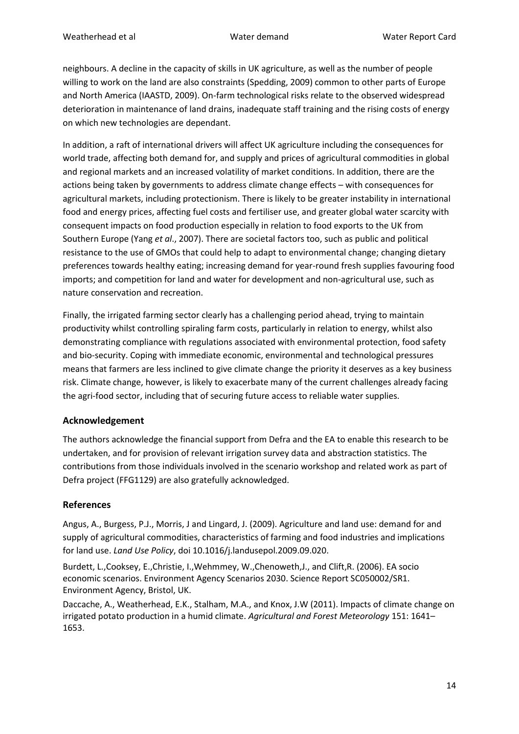neighbours. A decline in the capacity of skills in UK agriculture, as well as the number of people willing to work on the land are also constraints (Spedding, 2009) common to other parts of Europe and North America (IAASTD, 2009). On-farm technological risks relate to the observed widespread deterioration in maintenance of land drains, inadequate staff training and the rising costs of energy on which new technologies are dependant.

In addition, a raft of international drivers will affect UK agriculture including the consequences for world trade, affecting both demand for, and supply and prices of agricultural commodities in global and regional markets and an increased volatility of market conditions. In addition, there are the actions being taken by governments to address climate change effects – with consequences for agricultural markets, including protectionism. There is likely to be greater instability in international food and energy prices, affecting fuel costs and fertiliser use, and greater global water scarcity with consequent impacts on food production especially in relation to food exports to the UK from Southern Europe (Yang *et al*., 2007). There are societal factors too, such as public and political resistance to the use of GMOs that could help to adapt to environmental change; changing dietary preferences towards healthy eating; increasing demand for year-round fresh supplies favouring food imports; and competition for land and water for development and non-agricultural use, such as nature conservation and recreation.

Finally, the irrigated farming sector clearly has a challenging period ahead, trying to maintain productivity whilst controlling spiraling farm costs, particularly in relation to energy, whilst also demonstrating compliance with regulations associated with environmental protection, food safety and bio-security. Coping with immediate economic, environmental and technological pressures means that farmers are less inclined to give climate change the priority it deserves as a key business risk. Climate change, however, is likely to exacerbate many of the current challenges already facing the agri-food sector, including that of securing future access to reliable water supplies.

## **Acknowledgement**

The authors acknowledge the financial support from Defra and the EA to enable this research to be undertaken, and for provision of relevant irrigation survey data and abstraction statistics. The contributions from those individuals involved in the scenario workshop and related work as part of Defra project (FFG1129) are also gratefully acknowledged.

#### **References**

Angus, A., Burgess, P.J., Morris, J and Lingard, J. (2009). Agriculture and land use: demand for and supply of agricultural commodities, characteristics of farming and food industries and implications for land use. *Land Use Policy*, doi 10.1016/j.landusepol.2009.09.020.

Burdett, L.,Cooksey, E.,Christie, I.,Wehmmey, W.,Chenoweth,J., and Clift,R. (2006). EA socio economic scenarios. Environment Agency Scenarios 2030. Science Report SC050002/SR1. Environment Agency, Bristol, UK.

Daccache, A., Weatherhead, E.K., Stalham, M.A., and Knox, J.W (2011). Impacts of climate change on irrigated potato production in a humid climate. *Agricultural and Forest Meteorology* 151: 1641– 1653.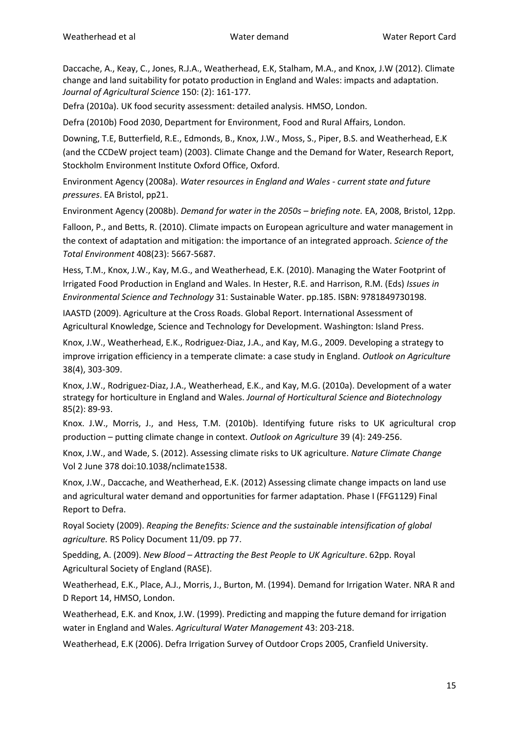Daccache, A., Keay, C., Jones, R.J.A., Weatherhead, E.K, Stalham, M.A., and Knox, J.W (2012). Climate change and land suitability for potato production in England and Wales: impacts and adaptation. *Journal of Agricultural Science* 150: (2): 161-177*.*

Defra (2010a). UK food security assessment: detailed analysis. HMSO, London.

Defra (2010b) Food 2030, Department for Environment, Food and Rural Affairs, London.

Downing, T.E, Butterfield, R.E., Edmonds, B., Knox, J.W., Moss, S., Piper, B.S. and Weatherhead, E.K (and the CCDeW project team) (2003). Climate Change and the Demand for Water, Research Report, Stockholm Environment Institute Oxford Office, Oxford.

Environment Agency (2008a). *Water resources in England and Wales - current state and future pressures*. EA Bristol, pp21.

Environment Agency (2008b). *Demand for water in the 2050s – briefing note.* EA, 2008, Bristol, 12pp.

Falloon, P., and Betts, R. (2010). Climate impacts on European agriculture and water management in the context of adaptation and mitigation: the importance of an integrated approach. *Science of the Total Environment* 408(23): 5667-5687.

Hess, T.M., Knox, J.W., Kay, M.G., and Weatherhead, E.K. (2010). Managing the Water Footprint of Irrigated Food Production in England and Wales. In Hester, R.E. and Harrison, R.M. (Eds) *Issues in Environmental Science and Technology* 31: Sustainable Water. pp.185. ISBN: 9781849730198.

IAASTD (2009). Agriculture at the Cross Roads. Global Report. International Assessment of Agricultural Knowledge, Science and Technology for Development. Washington: Island Press.

Knox, J.W., Weatherhead, E.K., Rodriguez-Diaz, J.A., and Kay, M.G., 2009. Developing a strategy to improve irrigation efficiency in a temperate climate: a case study in England. *Outlook on Agriculture* 38(4), 303-309.

Knox, J.W., Rodriguez-Diaz, J.A., Weatherhead, E.K., and Kay, M.G. (2010a). Development of a water strategy for horticulture in England and Wales. *Journal of Horticultural Science and Biotechnology* 85(2): 89-93.

Knox. J.W., Morris, J., and Hess, T.M. (2010b). Identifying future risks to UK agricultural crop production – putting climate change in context. *Outlook on Agriculture* 39 (4): 249-256.

Knox, J.W., and Wade, S. (2012). Assessing climate risks to UK agriculture. *Nature Climate Change* Vol 2 June 378 doi:10.1038/nclimate1538.

Knox, J.W., Daccache, and Weatherhead, E.K. (2012) Assessing climate change impacts on land use and agricultural water demand and opportunities for farmer adaptation. Phase I (FFG1129) Final Report to Defra.

Royal Society (2009). *Reaping the Benefits: Science and the sustainable intensification of global agriculture.* RS Policy Document 11/09. pp 77.

Spedding, A. (2009). *New Blood – Attracting the Best People to UK Agriculture*. 62pp. Royal Agricultural Society of England (RASE).

Weatherhead, E.K., Place, A.J., Morris, J., Burton, M. (1994). Demand for Irrigation Water. NRA R and D Report 14, HMSO, London.

Weatherhead, E.K. and Knox, J.W. (1999). Predicting and mapping the future demand for irrigation water in England and Wales. *Agricultural Water Management* 43: 203-218.

Weatherhead, E.K (2006). Defra Irrigation Survey of Outdoor Crops 2005, Cranfield University.